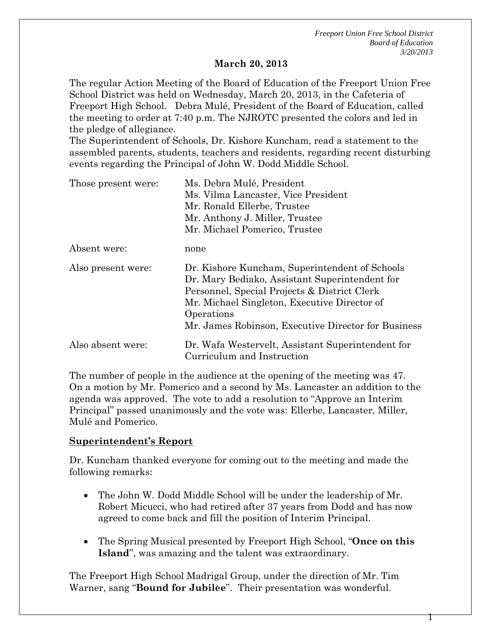#### **March 20, 2013**

The regular Action Meeting of the Board of Education of the Freeport Union Free School District was held on Wednesday, March 20, 2013, in the Cafeteria of Freeport High School. Debra Mulé, President of the Board of Education, called the meeting to order at 7:40 p.m. The NJROTC presented the colors and led in the pledge of allegiance.

The Superintendent of Schools, Dr. Kishore Kuncham, read a statement to the assembled parents, students, teachers and residents, regarding recent disturbing events regarding the Principal of John W. Dodd Middle School.

| Those present were: | Ms. Debra Mulé, President<br>Ms. Vilma Lancaster, Vice President<br>Mr. Ronald Ellerbe, Trustee<br>Mr. Anthony J. Miller, Trustee                                                                                                                                     |
|---------------------|-----------------------------------------------------------------------------------------------------------------------------------------------------------------------------------------------------------------------------------------------------------------------|
| Absent were:        | Mr. Michael Pomerico, Trustee<br>none                                                                                                                                                                                                                                 |
| Also present were:  | Dr. Kishore Kuncham, Superintendent of Schools<br>Dr. Mary Bediako, Assistant Superintendent for<br>Personnel, Special Projects & District Clerk<br>Mr. Michael Singleton, Executive Director of<br>Operations<br>Mr. James Robinson, Executive Director for Business |
| Also absent were:   | Dr. Wafa Westervelt, Assistant Superintendent for<br>Curriculum and Instruction                                                                                                                                                                                       |

The number of people in the audience at the opening of the meeting was 47. On a motion by Mr. Pomerico and a second by Ms. Lancaster an addition to the agenda was approved. The vote to add a resolution to "Approve an Interim Principal" passed unanimously and the vote was: Ellerbe, Lancaster, Miller, Mulé and Pomerico.

#### **Superintendent's Report**

Dr. Kuncham thanked everyone for coming out to the meeting and made the following remarks:

- The John W. Dodd Middle School will be under the leadership of Mr. Robert Micucci, who had retired after 37 years from Dodd and has now agreed to come back and fill the position of Interim Principal.
- The Spring Musical presented by Freeport High School, "**Once on this Island**", was amazing and the talent was extraordinary.

The Freeport High School Madrigal Group, under the direction of Mr. Tim Warner, sang "**Bound for Jubilee**". Their presentation was wonderful.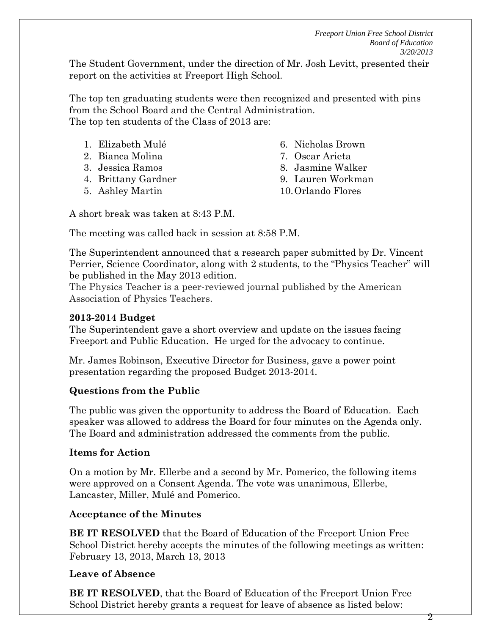The Student Government, under the direction of Mr. Josh Levitt, presented their report on the activities at Freeport High School.

The top ten graduating students were then recognized and presented with pins from the School Board and the Central Administration. The top ten students of the Class of 2013 are:

| 1. Elizabeth Mulé          | 6. Nic            |
|----------------------------|-------------------|
| $\Omega$ D: $\Omega$ M. E. | $\sigma$ $\Omega$ |

- 2. Bianca Molina
- 3. Jessica Ramos
- 4. Brittany Gardner
- 5. Ashley Martin
- holas Brown
- 7. Oscar Arieta
- 8. Jasmine Walker
- 9. Lauren Workman
- 10.Orlando Flores

A short break was taken at 8:43 P.M.

The meeting was called back in session at 8:58 P.M.

The Superintendent announced that a research paper submitted by Dr. Vincent Perrier, Science Coordinator, along with 2 students, to the "Physics Teacher" will be published in the May 2013 edition.

The Physics Teacher is a peer-reviewed journal published by the American Association of Physics Teachers.

### **2013-2014 Budget**

The Superintendent gave a short overview and update on the issues facing Freeport and Public Education. He urged for the advocacy to continue.

Mr. James Robinson, Executive Director for Business, gave a power point presentation regarding the proposed Budget 2013-2014.

### **Questions from the Public**

The public was given the opportunity to address the Board of Education. Each speaker was allowed to address the Board for four minutes on the Agenda only. The Board and administration addressed the comments from the public.

### **Items for Action**

On a motion by Mr. Ellerbe and a second by Mr. Pomerico, the following items were approved on a Consent Agenda. The vote was unanimous, Ellerbe, Lancaster, Miller, Mulé and Pomerico.

### **Acceptance of the Minutes**

**BE IT RESOLVED** that the Board of Education of the Freeport Union Free School District hereby accepts the minutes of the following meetings as written: February 13, 2013, March 13, 2013

### **Leave of Absence**

**BE IT RESOLVED**, that the Board of Education of the Freeport Union Free School District hereby grants a request for leave of absence as listed below:

2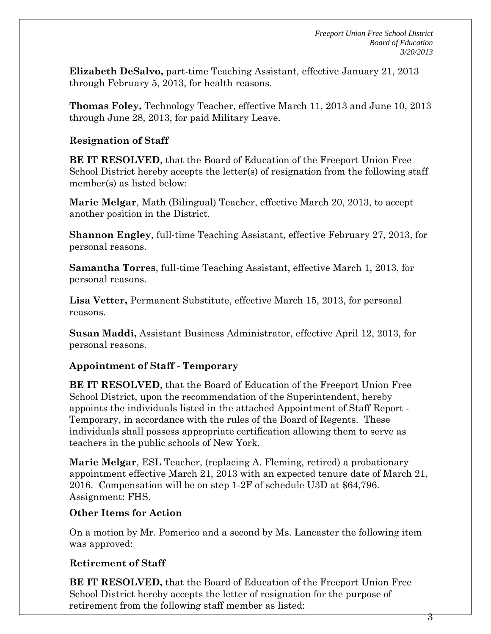**Elizabeth DeSalvo,** part-time Teaching Assistant, effective January 21, 2013 through February 5, 2013, for health reasons.

**Thomas Foley,** Technology Teacher, effective March 11, 2013 and June 10, 2013 through June 28, 2013, for paid Military Leave.

### **Resignation of Staff**

**BE IT RESOLVED**, that the Board of Education of the Freeport Union Free School District hereby accepts the letter(s) of resignation from the following staff member(s) as listed below:

**Marie Melgar**, Math (Bilingual) Teacher, effective March 20, 2013, to accept another position in the District.

**Shannon Engley**, full-time Teaching Assistant, effective February 27, 2013, for personal reasons.

**Samantha Torres**, full-time Teaching Assistant, effective March 1, 2013, for personal reasons.

**Lisa Vetter,** Permanent Substitute, effective March 15, 2013, for personal reasons.

**Susan Maddi,** Assistant Business Administrator, effective April 12, 2013, for personal reasons.

### **Appointment of Staff - Temporary**

**BE IT RESOLVED**, that the Board of Education of the Freeport Union Free School District, upon the recommendation of the Superintendent, hereby appoints the individuals listed in the attached Appointment of Staff Report - Temporary, in accordance with the rules of the Board of Regents. These individuals shall possess appropriate certification allowing them to serve as teachers in the public schools of New York.

**Marie Melgar**, ESL Teacher, (replacing A. Fleming, retired) a probationary appointment effective March 21, 2013 with an expected tenure date of March 21, 2016. Compensation will be on step 1-2F of schedule U3D at \$64,796. Assignment: FHS.

### **Other Items for Action**

On a motion by Mr. Pomerico and a second by Ms. Lancaster the following item was approved:

### **Retirement of Staff**

**BE IT RESOLVED,** that the Board of Education of the Freeport Union Free School District hereby accepts the letter of resignation for the purpose of retirement from the following staff member as listed: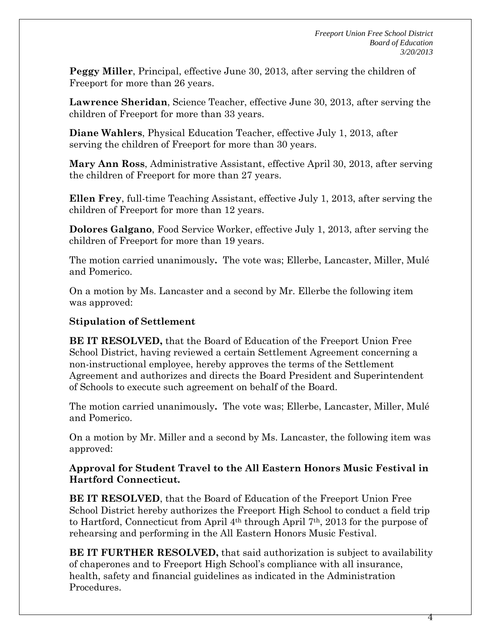**Peggy Miller**, Principal, effective June 30, 2013, after serving the children of Freeport for more than 26 years.

**Lawrence Sheridan**, Science Teacher, effective June 30, 2013, after serving the children of Freeport for more than 33 years.

**Diane Wahlers**, Physical Education Teacher, effective July 1, 2013, after serving the children of Freeport for more than 30 years.

**Mary Ann Ross**, Administrative Assistant, effective April 30, 2013, after serving the children of Freeport for more than 27 years.

**Ellen Frey**, full-time Teaching Assistant, effective July 1, 2013, after serving the children of Freeport for more than 12 years.

**Dolores Galgano**, Food Service Worker, effective July 1, 2013, after serving the children of Freeport for more than 19 years.

The motion carried unanimously**.** The vote was; Ellerbe, Lancaster, Miller, Mulé and Pomerico.

On a motion by Ms. Lancaster and a second by Mr. Ellerbe the following item was approved:

### **Stipulation of Settlement**

**BE IT RESOLVED,** that the Board of Education of the Freeport Union Free School District, having reviewed a certain Settlement Agreement concerning a non-instructional employee, hereby approves the terms of the Settlement Agreement and authorizes and directs the Board President and Superintendent of Schools to execute such agreement on behalf of the Board.

The motion carried unanimously**.** The vote was; Ellerbe, Lancaster, Miller, Mulé and Pomerico.

On a motion by Mr. Miller and a second by Ms. Lancaster, the following item was approved:

### **Approval for Student Travel to the All Eastern Honors Music Festival in Hartford Connecticut.**

**BE IT RESOLVED**, that the Board of Education of the Freeport Union Free School District hereby authorizes the Freeport High School to conduct a field trip to Hartford, Connecticut from April 4th through April 7th, 2013 for the purpose of rehearsing and performing in the All Eastern Honors Music Festival.

**BE IT FURTHER RESOLVED,** that said authorization is subject to availability of chaperones and to Freeport High School's compliance with all insurance, health, safety and financial guidelines as indicated in the Administration Procedures.

4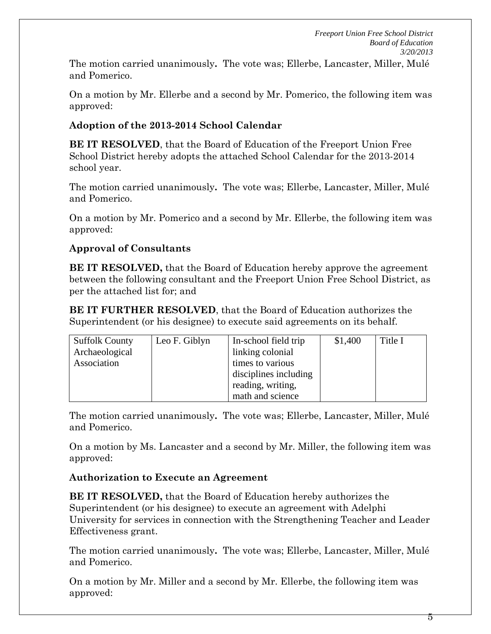The motion carried unanimously**.** The vote was; Ellerbe, Lancaster, Miller, Mulé and Pomerico.

On a motion by Mr. Ellerbe and a second by Mr. Pomerico, the following item was approved:

# **Adoption of the 2013-2014 School Calendar**

**BE IT RESOLVED**, that the Board of Education of the Freeport Union Free School District hereby adopts the attached School Calendar for the 2013-2014 school year.

The motion carried unanimously**.** The vote was; Ellerbe, Lancaster, Miller, Mulé and Pomerico.

On a motion by Mr. Pomerico and a second by Mr. Ellerbe, the following item was approved:

### **Approval of Consultants**

**BE IT RESOLVED,** that the Board of Education hereby approve the agreement between the following consultant and the Freeport Union Free School District, as per the attached list for; and

**BE IT FURTHER RESOLVED**, that the Board of Education authorizes the Superintendent (or his designee) to execute said agreements on its behalf.

| <b>Suffolk County</b> | Leo F. Giblyn | In-school field trip  | \$1,400 | Title I |
|-----------------------|---------------|-----------------------|---------|---------|
| Archaeological        |               | linking colonial      |         |         |
| Association           |               | times to various      |         |         |
|                       |               | disciplines including |         |         |
|                       |               | reading, writing,     |         |         |
|                       |               | math and science      |         |         |

The motion carried unanimously**.** The vote was; Ellerbe, Lancaster, Miller, Mulé and Pomerico.

On a motion by Ms. Lancaster and a second by Mr. Miller, the following item was approved:

### **Authorization to Execute an Agreement**

**BE IT RESOLVED,** that the Board of Education hereby authorizes the Superintendent (or his designee) to execute an agreement with Adelphi University for services in connection with the Strengthening Teacher and Leader Effectiveness grant.

The motion carried unanimously**.** The vote was; Ellerbe, Lancaster, Miller, Mulé and Pomerico.

On a motion by Mr. Miller and a second by Mr. Ellerbe, the following item was approved: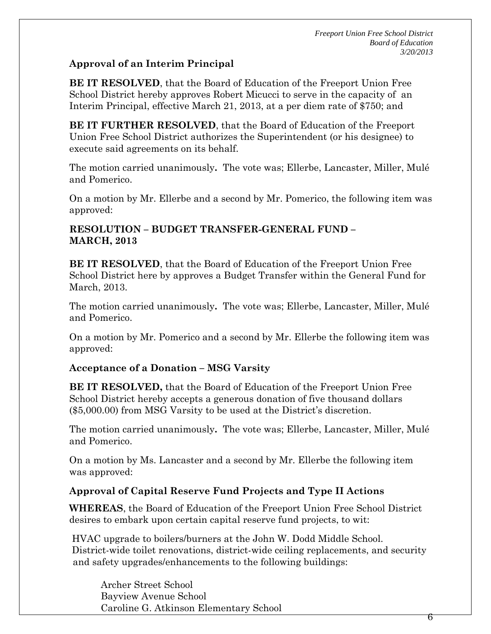### **Approval of an Interim Principal**

**BE IT RESOLVED**, that the Board of Education of the Freeport Union Free School District hereby approves Robert Micucci to serve in the capacity of an Interim Principal, effective March 21, 2013, at a per diem rate of \$750; and

**BE IT FURTHER RESOLVED**, that the Board of Education of the Freeport Union Free School District authorizes the Superintendent (or his designee) to execute said agreements on its behalf.

The motion carried unanimously**.** The vote was; Ellerbe, Lancaster, Miller, Mulé and Pomerico.

On a motion by Mr. Ellerbe and a second by Mr. Pomerico, the following item was approved:

### **RESOLUTION – BUDGET TRANSFER-GENERAL FUND – MARCH, 2013**

**BE IT RESOLVED**, that the Board of Education of the Freeport Union Free School District here by approves a Budget Transfer within the General Fund for March, 2013.

The motion carried unanimously**.** The vote was; Ellerbe, Lancaster, Miller, Mulé and Pomerico.

On a motion by Mr. Pomerico and a second by Mr. Ellerbe the following item was approved:

### **Acceptance of a Donation – MSG Varsity**

**BE IT RESOLVED,** that the Board of Education of the Freeport Union Free School District hereby accepts a generous donation of five thousand dollars (\$5,000.00) from MSG Varsity to be used at the District's discretion.

The motion carried unanimously**.** The vote was; Ellerbe, Lancaster, Miller, Mulé and Pomerico.

On a motion by Ms. Lancaster and a second by Mr. Ellerbe the following item was approved:

### **Approval of Capital Reserve Fund Projects and Type II Actions**

**WHEREAS**, the Board of Education of the Freeport Union Free School District desires to embark upon certain capital reserve fund projects, to wit:

 HVAC upgrade to boilers/burners at the John W. Dodd Middle School. District-wide toilet renovations, district-wide ceiling replacements, and security and safety upgrades/enhancements to the following buildings:

 Archer Street School Bayview Avenue School Caroline G. Atkinson Elementary School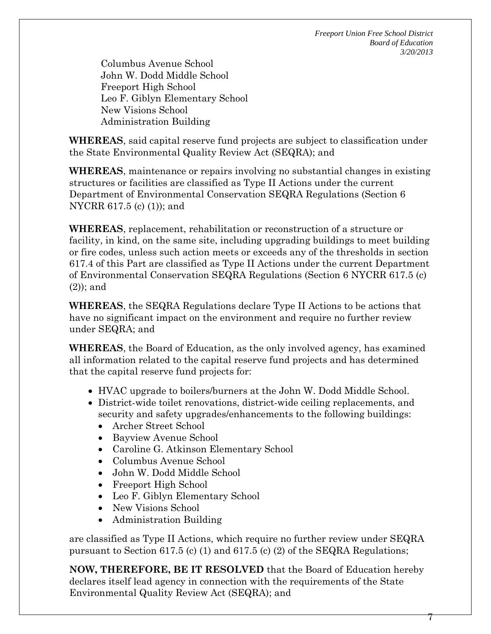Columbus Avenue School John W. Dodd Middle School Freeport High School Leo F. Giblyn Elementary School New Visions School Administration Building

**WHEREAS**, said capital reserve fund projects are subject to classification under the State Environmental Quality Review Act (SEQRA); and

**WHEREAS**, maintenance or repairs involving no substantial changes in existing structures or facilities are classified as Type II Actions under the current Department of Environmental Conservation SEQRA Regulations (Section 6 NYCRR 617.5 (c) (1)); and

**WHEREAS**, replacement, rehabilitation or reconstruction of a structure or facility, in kind, on the same site, including upgrading buildings to meet building or fire codes, unless such action meets or exceeds any of the thresholds in section 617.4 of this Part are classified as Type II Actions under the current Department of Environmental Conservation SEQRA Regulations (Section 6 NYCRR 617.5 (c) (2)); and

**WHEREAS**, the SEQRA Regulations declare Type II Actions to be actions that have no significant impact on the environment and require no further review under SEQRA; and

**WHEREAS**, the Board of Education, as the only involved agency, has examined all information related to the capital reserve fund projects and has determined that the capital reserve fund projects for:

- HVAC upgrade to boilers/burners at the John W. Dodd Middle School.
- District-wide toilet renovations, district-wide ceiling replacements, and security and safety upgrades/enhancements to the following buildings:
	- Archer Street School
	- Bayview Avenue School
	- Caroline G. Atkinson Elementary School
	- Columbus Avenue School
	- John W. Dodd Middle School
	- Freeport High School
	- Leo F. Giblyn Elementary School
	- New Visions School
	- Administration Building

are classified as Type II Actions, which require no further review under SEQRA pursuant to Section 617.5 (c) (1) and 617.5 (c) (2) of the SEQRA Regulations;

**NOW, THEREFORE, BE IT RESOLVED** that the Board of Education hereby declares itself lead agency in connection with the requirements of the State Environmental Quality Review Act (SEQRA); and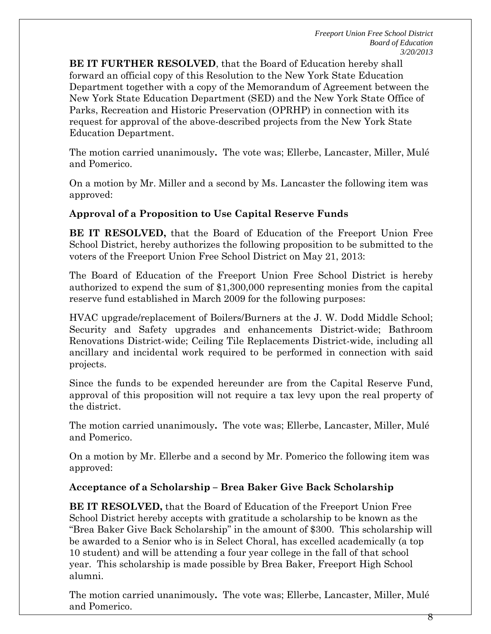**BE IT FURTHER RESOLVED**, that the Board of Education hereby shall forward an official copy of this Resolution to the New York State Education Department together with a copy of the Memorandum of Agreement between the New York State Education Department (SED) and the New York State Office of Parks, Recreation and Historic Preservation (OPRHP) in connection with its request for approval of the above-described projects from the New York State Education Department.

The motion carried unanimously**.** The vote was; Ellerbe, Lancaster, Miller, Mulé and Pomerico.

On a motion by Mr. Miller and a second by Ms. Lancaster the following item was approved:

# **Approval of a Proposition to Use Capital Reserve Funds**

**BE IT RESOLVED,** that the Board of Education of the Freeport Union Free School District, hereby authorizes the following proposition to be submitted to the voters of the Freeport Union Free School District on May 21, 2013:

The Board of Education of the Freeport Union Free School District is hereby authorized to expend the sum of \$1,300,000 representing monies from the capital reserve fund established in March 2009 for the following purposes:

HVAC upgrade/replacement of Boilers/Burners at the J. W. Dodd Middle School; Security and Safety upgrades and enhancements District-wide; Bathroom Renovations District-wide; Ceiling Tile Replacements District-wide, including all ancillary and incidental work required to be performed in connection with said projects.

Since the funds to be expended hereunder are from the Capital Reserve Fund, approval of this proposition will not require a tax levy upon the real property of the district.

The motion carried unanimously**.** The vote was; Ellerbe, Lancaster, Miller, Mulé and Pomerico.

On a motion by Mr. Ellerbe and a second by Mr. Pomerico the following item was approved:

### **Acceptance of a Scholarship – Brea Baker Give Back Scholarship**

**BE IT RESOLVED,** that the Board of Education of the Freeport Union Free School District hereby accepts with gratitude a scholarship to be known as the "Brea Baker Give Back Scholarship" in the amount of \$300. This scholarship will be awarded to a Senior who is in Select Choral, has excelled academically (a top 10 student) and will be attending a four year college in the fall of that school year. This scholarship is made possible by Brea Baker, Freeport High School alumni.

The motion carried unanimously**.** The vote was; Ellerbe, Lancaster, Miller, Mulé and Pomerico.

8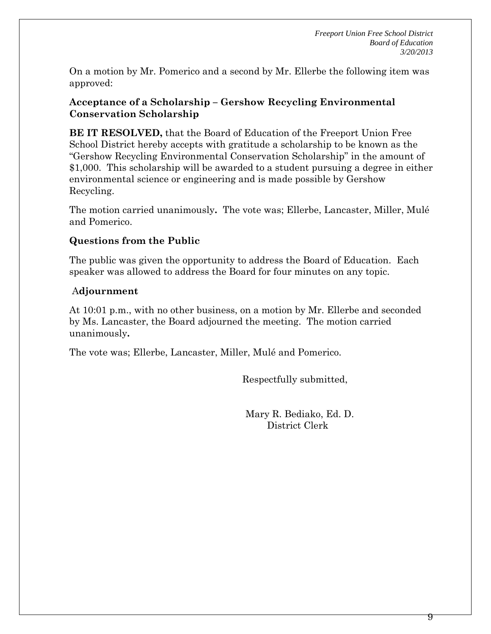On a motion by Mr. Pomerico and a second by Mr. Ellerbe the following item was approved:

### **Acceptance of a Scholarship – Gershow Recycling Environmental Conservation Scholarship**

**BE IT RESOLVED,** that the Board of Education of the Freeport Union Free School District hereby accepts with gratitude a scholarship to be known as the "Gershow Recycling Environmental Conservation Scholarship" in the amount of \$1,000. This scholarship will be awarded to a student pursuing a degree in either environmental science or engineering and is made possible by Gershow Recycling.

The motion carried unanimously**.** The vote was; Ellerbe, Lancaster, Miller, Mulé and Pomerico.

### **Questions from the Public**

The public was given the opportunity to address the Board of Education. Each speaker was allowed to address the Board for four minutes on any topic.

### A**djournment**

At 10:01 p.m., with no other business, on a motion by Mr. Ellerbe and seconded by Ms. Lancaster, the Board adjourned the meeting. The motion carried unanimously**.** 

The vote was; Ellerbe, Lancaster, Miller, Mulé and Pomerico.

Respectfully submitted,

 Mary R. Bediako, Ed. D. District Clerk